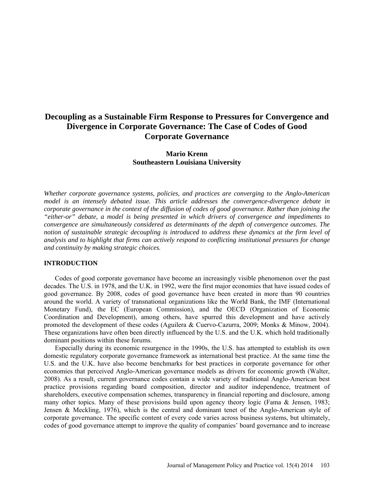# **Decoupling as a Sustainable Firm Response to Pressures for Convergence and Divergence in Corporate Governance: The Case of Codes of Good Corporate Governance**

# **Mario Krenn Southeastern Louisiana University**

*Whether corporate governance systems, policies, and practices are converging to the Anglo-American model is an intensely debated issue. This article addresses the convergence-divergence debate in corporate governance in the context of the diffusion of codes of good governance. Rather than joining the "either-or" debate, a model is being presented in which drivers of convergence and impediments to convergence are simultaneously considered as determinants of the depth of convergence outcomes. The notion of sustainable strategic decoupling is introduced to address these dynamics at the firm level of analysis and to highlight that firms can actively respond to conflicting institutional pressures for change and continuity by making strategic choices.* 

### **INTRODUCTION**

Codes of good corporate governance have become an increasingly visible phenomenon over the past decades. The U.S. in 1978, and the U.K. in 1992, were the first major economies that have issued codes of good governance. By 2008, codes of good governance have been created in more than 90 countries around the world. A variety of transnational organizations like the World Bank, the IMF (International Monetary Fund), the EC (European Commission), and the OECD (Organization of Economic Coordination and Development), among others, have spurred this development and have actively promoted the development of these codes (Aguilera & Cuervo-Cazurra, 2009; Monks & Minow, 2004). These organizations have often been directly influenced by the U.S. and the U.K. which hold traditionally dominant positions within these forums.

Especially during its economic resurgence in the 1990s, the U.S. has attempted to establish its own domestic regulatory corporate governance framework as international best practice. At the same time the U.S. and the U.K. have also become benchmarks for best practices in corporate governance for other economies that perceived Anglo-American governance models as drivers for economic growth (Walter, 2008). As a result, current governance codes contain a wide variety of traditional Anglo-American best practice provisions regarding board composition, director and auditor independence, treatment of shareholders, executive compensation schemes, transparency in financial reporting and disclosure, among many other topics. Many of these provisions build upon agency theory logic (Fama & Jensen, 1983; Jensen & Meckling, 1976), which is the central and dominant tenet of the Anglo-American style of corporate governance. The specific content of every code varies across business systems, but ultimately, codes of good governance attempt to improve the quality of companies' board governance and to increase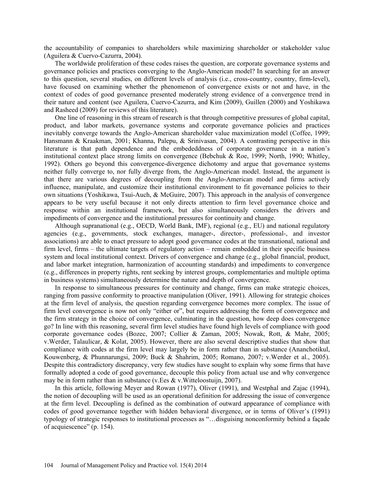the accountability of companies to shareholders while maximizing shareholder or stakeholder value (Aguilera & Cuervo-Cazurra, 2004).

The worldwide proliferation of these codes raises the question, are corporate governance systems and governance policies and practices converging to the Anglo-American model? In searching for an answer to this question, several studies, on different levels of analysis (i.e., cross-country, country, firm-level), have focused on examining whether the phenomenon of convergence exists or not and have, in the context of codes of good governance presented moderately strong evidence of a convergence trend in their nature and content (see Aguilera, Cuervo-Cazurra, and Kim (2009), Guillen (2000) and Yoshikawa and Rasheed (2009) for reviews of this literature).

One line of reasoning in this stream of research is that through competitive pressures of global capital, product, and labor markets, governance systems and corporate governance policies and practices inevitably converge towards the Anglo-American shareholder value maximization model (Coffee, 1999; Hansmann & Kraakman, 2001; Khanna, Palepu, & Srinivasan, 2004). A contrasting perspective in this literature is that path dependence and the embededdness of corporate governance in a nation's institutional context place strong limits on convergence (Bebchuk & Roe, 1999; North, 1990; Whitley, 1992). Others go beyond this convergence-divergence dichotomy and argue that governance systems neither fully converge to, nor fully diverge from, the Anglo-American model. Instead, the argument is that there are various degrees of decoupling from the Anglo-American model and firms actively influence, manipulate, and customize their institutional environment to fit governance policies to their own situations (Yoshikawa, Tsui-Auch, & McGuire, 2007). This approach in the analysis of convergence appears to be very useful because it not only directs attention to firm level governance choice and response within an institutional framework, but also simultaneously considers the drivers and impediments of convergence and the institutional pressures for continuity and change.

Although supranational (e.g., OECD, World Bank, IMF), regional (e.g., EU) and national regulatory agencies (e.g., governments, stock exchanges, manager-, director-, professional-, and investor associations) are able to enact pressure to adopt good governance codes at the transnational, national and firm level, firms – the ultimate targets of regulatory action – remain embedded in their specific business system and local institutional context. Drivers of convergence and change (e.g., global financial, product, and labor market integration, harmonization of accounting standards) and impediments to convergence (e.g., differences in property rights, rent seeking by interest groups, complementaries and multiple optima in business systems) simultaneously determine the nature and depth of convergence.

In response to simultaneous pressures for continuity and change, firms can make strategic choices, ranging from passive conformity to proactive manipulation (Oliver, 1991). Allowing for strategic choices at the firm level of analysis, the question regarding convergence becomes more complex. The issue of firm level convergence is now not only "either or", but requires addressing the form of convergence and the firm strategy in the choice of convergence, culminating in the question, how deep does convergence go? In line with this reasoning, several firm level studies have found high levels of compliance with good corporate governance codes (Bozec, 2007; Collier & Zaman, 2005; Nowak, Rott, & Mahr, 2005; v.Werder, Talaulicar, & Kolat, 2005). However, there are also several descriptive studies that show that compliance with codes at the firm level may largely be in form rather than in substance (Ananchotikul, Kouwenberg, & Phunnarungsi, 2009; Buck & Shahrim, 2005; Romano, 2007; v.Werder et al., 2005). Despite this contradictory discrepancy, very few studies have sought to explain why some firms that have formally adopted a code of good governance, decouple this policy from actual use and why convergence may be in form rather than in substance (v.Ees & v.Witteloostuijn, 2007).

In this article, following Meyer and Rowan (1977), Oliver (1991), and Westphal and Zajac (1994), the notion of decoupling will be used as an operational definition for addressing the issue of convergence at the firm level. Decoupling is defined as the combination of outward appearance of compliance with codes of good governance together with hidden behavioral divergence, or in terms of Oliver's (1991) typology of strategic responses to institutional processes as "…disguising nonconformity behind a façade of acquiescence" (p. 154).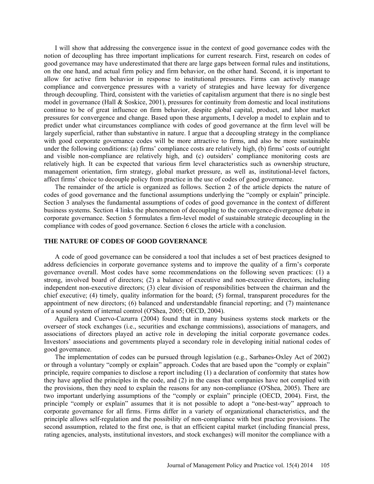I will show that addressing the convergence issue in the context of good governance codes with the notion of decoupling has three important implications for current research. First, research on codes of good governance may have underestimated that there are large gaps between formal rules and institutions, on the one hand, and actual firm policy and firm behavior, on the other hand. Second, it is important to allow for active firm behavior in response to institutional pressures. Firms can actively manage compliance and convergence pressures with a variety of strategies and have leeway for divergence through decoupling. Third, consistent with the varieties of capitalism argument that there is no single best model in governance (Hall & Soskice, 2001), pressures for continuity from domestic and local institutions continue to be of great influence on firm behavior, despite global capital, product, and labor market pressures for convergence and change. Based upon these arguments, I develop a model to explain and to predict under what circumstances compliance with codes of good governance at the firm level will be largely superficial, rather than substantive in nature. I argue that a decoupling strategy in the compliance with good corporate governance codes will be more attractive to firms, and also be more sustainable under the following conditions: (a) firms' compliance costs are relatively high, (b) firms' costs of outright and visible non-compliance are relatively high, and (c) outsiders' compliance monitoring costs are relatively high. It can be expected that various firm level characteristics such as ownership structure, management orientation, firm strategy, global market pressure, as well as, institutional-level factors, affect firms' choice to decouple policy from practice in the use of codes of good governance.

The remainder of the article is organized as follows. Section 2 of the article depicts the nature of codes of good governance and the functional assumptions underlying the "comply or explain" principle. Section 3 analyses the fundamental assumptions of codes of good governance in the context of different business systems. Section 4 links the phenomenon of decoupling to the convergence-divergence debate in corporate governance. Section 5 formulates a firm-level model of sustainable strategic decoupling in the compliance with codes of good governance. Section 6 closes the article with a conclusion.

## **THE NATURE OF CODES OF GOOD GOVERNANCE**

A code of good governance can be considered a tool that includes a set of best practices designed to address deficiencies in corporate governance systems and to improve the quality of a firm's corporate governance overall. Most codes have some recommendations on the following seven practices: (1) a strong, involved board of directors; (2) a balance of executive and non-executive directors, including independent non-executive directors; (3) clear division of responsibilities between the chairman and the chief executive; (4) timely, quality information for the board; (5) formal, transparent procedures for the appointment of new directors; (6) balanced and understandable financial reporting; and (7) maintenance of a sound system of internal control (O'Shea, 2005; OECD, 2004).

Aguilera and Cuervo-Cazurra (2004) found that in many business systems stock markets or the overseer of stock exchanges (i.e., securities and exchange commissions), associations of managers, and associations of directors played an active role in developing the initial corporate governance codes. Investors' associations and governments played a secondary role in developing initial national codes of good governance.

The implementation of codes can be pursued through legislation (e.g., Sarbanes-Oxley Act of 2002) or through a voluntary "comply or explain" approach. Codes that are based upon the "comply or explain" principle, require companies to disclose a report including (1) a declaration of conformity that states how they have applied the principles in the code, and (2) in the cases that companies have not complied with the provisions, then they need to explain the reasons for any non-compliance (O'Shea, 2005). There are two important underlying assumptions of the "comply or explain" principle (OECD, 2004). First, the principle "comply or explain" assumes that it is not possible to adopt a "one-best-way" approach to corporate governance for all firms. Firms differ in a variety of organizational characteristics, and the principle allows self-regulation and the possibility of non-compliance with best practice provisions. The second assumption, related to the first one, is that an efficient capital market (including financial press, rating agencies, analysts, institutional investors, and stock exchanges) will monitor the compliance with a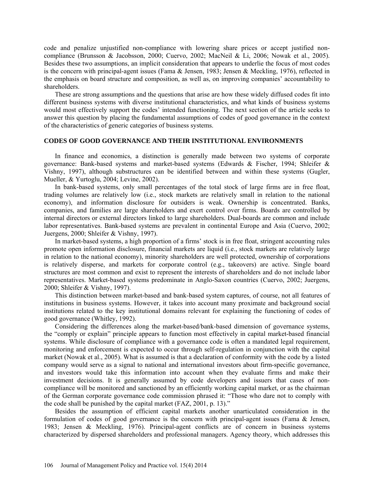code and penalize unjustified non-compliance with lowering share prices or accept justified noncompliance (Brunsson & Jacobsson, 2000; Cuervo, 2002; MacNeil & Li, 2006; Nowak et al., 2005). Besides these two assumptions, an implicit consideration that appears to underlie the focus of most codes is the concern with principal-agent issues (Fama & Jensen, 1983; Jensen & Meckling, 1976), reflected in the emphasis on board structure and composition, as well as, on improving companies' accountability to shareholders.

These are strong assumptions and the questions that arise are how these widely diffused codes fit into different business systems with diverse institutional characteristics, and what kinds of business systems would most effectively support the codes' intended functioning. The next section of the article seeks to answer this question by placing the fundamental assumptions of codes of good governance in the context of the characteristics of generic categories of business systems.

# **CODES OF GOOD GOVERNANCE AND THEIR INSTITUTIONAL ENVIRONMENTS**

In finance and economics, a distinction is generally made between two systems of corporate governance: Bank-based systems and market-based systems (Edwards & Fischer, 1994; Shleifer & Vishny, 1997), although substructures can be identified between and within these systems (Gugler, Mueller, & Yurtoglu, 2004; Levine, 2002).

In bank-based systems, only small percentages of the total stock of large firms are in free float, trading volumes are relatively low (i.e., stock markets are relatively small in relation to the national economy), and information disclosure for outsiders is weak. Ownership is concentrated. Banks, companies, and families are large shareholders and exert control over firms. Boards are controlled by internal directors or external directors linked to large shareholders. Dual-boards are common and include labor representatives. Bank-based systems are prevalent in continental Europe and Asia (Cuervo, 2002; Juergens, 2000; Shleifer & Vishny, 1997).

In market-based systems, a high proportion of a firms' stock is in free float, stringent accounting rules promote open information disclosure, financial markets are liquid (i.e., stock markets are relatively large in relation to the national economy), minority shareholders are well protected, ownership of corporations is relatively disperse, and markets for corporate control (e.g., takeovers) are active. Single board structures are most common and exist to represent the interests of shareholders and do not include labor representatives. Market-based systems predominate in Anglo-Saxon countries (Cuervo, 2002; Juergens, 2000; Shleifer & Vishny, 1997).

This distinction between market-based and bank-based system captures, of course, not all features of institutions in business systems. However, it takes into account many proximate and background social institutions related to the key institutional domains relevant for explaining the functioning of codes of good governance (Whitley, 1992).

Considering the differences along the market-based/bank-based dimension of governance systems, the "comply or explain" principle appears to function most effectively in capital market-based financial systems. While disclosure of compliance with a governance code is often a mandated legal requirement, monitoring and enforcement is expected to occur through self-regulation in conjunction with the capital market (Nowak et al., 2005). What is assumed is that a declaration of conformity with the code by a listed company would serve as a signal to national and international investors about firm-specific governance, and investors would take this information into account when they evaluate firms and make their investment decisions. It is generally assumed by code developers and issuers that cases of noncompliance will be monitored and sanctioned by an efficiently working capital market, or as the chairman of the German corporate governance code commission phrased it: "Those who dare not to comply with the code shall be punished by the capital market (FAZ, 2001, p. 13)."

Besides the assumption of efficient capital markets another unarticulated consideration in the formulation of codes of good governance is the concern with principal-agent issues (Fama & Jensen, 1983; Jensen & Meckling, 1976). Principal-agent conflicts are of concern in business systems characterized by dispersed shareholders and professional managers. Agency theory, which addresses this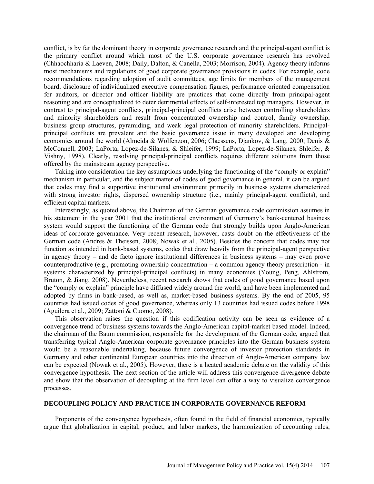conflict, is by far the dominant theory in corporate governance research and the principal-agent conflict is the primary conflict around which most of the U.S. corporate governance research has revolved (Chhaochharia & Laeven, 2008; Daily, Dalton, & Canella, 2003; Morrison, 2004). Agency theory informs most mechanisms and regulations of good corporate governance provisions in codes. For example, code recommendations regarding adoption of audit committees, age limits for members of the management board, disclosure of individualized executive compensation figures, performance oriented compensation for auditors, or director and officer liability are practices that come directly from principal-agent reasoning and are conceptualized to deter detrimental effects of self-interested top managers. However, in contrast to principal-agent conflicts, principal-principal conflicts arise between controlling shareholders and minority shareholders and result from concentrated ownership and control, family ownership, business group structures, pyramiding, and weak legal protection of minority shareholders. Principalprincipal conflicts are prevalent and the basic governance issue in many developed and developing economies around the world (Almeida & Wolfenzon, 2006; Claessens, Djankov, & Lang, 2000; Denis & McConnell, 2003; LaPorta, Lopez-de-Silanes, & Shleifer, 1999; LaPorta, Lopez-de-Silanes, Shleifer, & Vishny, 1998). Clearly, resolving principal-principal conflicts requires different solutions from those offered by the mainstream agency perspective.

Taking into consideration the key assumptions underlying the functioning of the "comply or explain" mechanism in particular, and the subject matter of codes of good governance in general, it can be argued that codes may find a supportive institutional environment primarily in business systems characterized with strong investor rights, dispersed ownership structure (i.e., mainly principal-agent conflicts), and efficient capital markets.

Interestingly, as quoted above, the Chairman of the German governance code commission assumes in his statement in the year 2001 that the institutional environment of Germany's bank-centered business system would support the functioning of the German code that strongly builds upon Anglo-American ideas of corporate governance. Very recent research, however, casts doubt on the effectiveness of the German code (Andres & Theissen, 2008; Nowak et al., 2005). Besides the concern that codes may not function as intended in bank-based systems, codes that draw heavily from the principal-agent perspective in agency theory – and de facto ignore institutional differences in business systems – may even prove counterproductive (e.g., promoting ownership concentration – a common agency theory prescription - in systems characterized by principal-principal conflicts) in many economies (Young, Peng, Ahlstrom, Bruton, & Jiang, 2008). Nevertheless, recent research shows that codes of good governance based upon the "comply or explain" principle have diffused widely around the world, and have been implemented and adopted by firms in bank-based, as well as, market-based business systems. By the end of 2005, 95 countries had issued codes of good governance, whereas only 13 countries had issued codes before 1998 (Aguilera et al., 2009; Zattoni & Cuomo, 2008).

This observation raises the question if this codification activity can be seen as evidence of a convergence trend of business systems towards the Anglo-American capital-market based model. Indeed, the chairman of the Baum commission, responsible for the development of the German code, argued that transferring typical Anglo-American corporate governance principles into the German business system would be a reasonable undertaking, because future convergence of investor protection standards in Germany and other continental European countries into the direction of Anglo-American company law can be expected (Nowak et al., 2005). However, there is a heated academic debate on the validity of this convergence hypothesis. The next section of the article will address this convergence-divergence debate and show that the observation of decoupling at the firm level can offer a way to visualize convergence processes.

# **DECOUPLING POLICY AND PRACTICE IN CORPORATE GOVERNANCE REFORM**

Proponents of the convergence hypothesis, often found in the field of financial economics, typically argue that globalization in capital, product, and labor markets, the harmonization of accounting rules,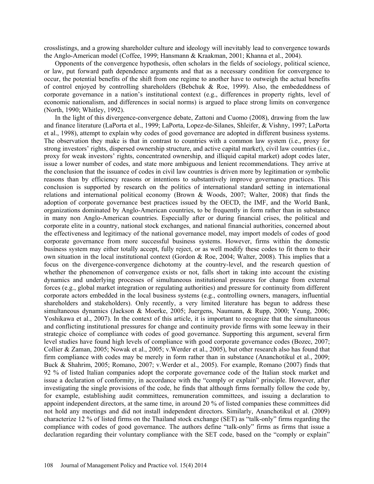crosslistings, and a growing shareholder culture and ideology will inevitably lead to convergence towards the Anglo-American model (Coffee, 1999; Hansmann & Kraakman, 2001; Khanna et al., 2004).

Opponents of the convergence hypothesis, often scholars in the fields of sociology, political science, or law, put forward path dependence arguments and that as a necessary condition for convergence to occur, the potential benefits of the shift from one regime to another have to outweigh the actual benefits of control enjoyed by controlling shareholders (Bebchuk & Roe, 1999). Also, the embededdness of corporate governance in a nation's institutional context (e.g., differences in property rights, level of economic nationalism, and differences in social norms) is argued to place strong limits on convergence (North, 1990; Whitley, 1992).

In the light of this divergence-convergence debate, Zattoni and Cuomo (2008), drawing from the law and finance literature (LaPorta et al., 1999; LaPorta, Lopez-de-Silanes, Shleifer, & Vishny, 1997; LaPorta et al., 1998), attempt to explain why codes of good governance are adopted in different business systems. The observation they make is that in contrast to countries with a common law system (i.e., proxy for strong investors' rights, dispersed ownership structure, and active capital market), civil law countries (i.e., proxy for weak investors' rights, concentrated ownership, and illiquid capital market) adopt codes later, issue a lower number of codes, and state more ambiguous and lenient recommendations. They arrive at the conclusion that the issuance of codes in civil law countries is driven more by legitimation or symbolic reasons than by efficiency reasons or intentions to substantively improve governance practices. This conclusion is supported by research on the politics of international standard setting in international relations and international political economy (Brown & Woods, 2007; Walter, 2008) that finds the adoption of corporate governance best practices issued by the OECD, the IMF, and the World Bank, organizations dominated by Anglo-American countries, to be frequently in form rather than in substance in many non Anglo-American countries. Especially after or during financial crises, the political and corporate elite in a country, national stock exchanges, and national financial authorities, concerned about the effectiveness and legitimacy of the national governance model, may import models of codes of good corporate governance from more successful business systems. However, firms within the domestic business system may either totally accept, fully reject, or as well modify these codes to fit them to their own situation in the local institutional context (Gordon & Roe, 2004; Walter, 2008). This implies that a focus on the divergence-convergence dichotomy at the country-level, and the research question of whether the phenomenon of convergence exists or not, falls short in taking into account the existing dynamics and underlying processes of simultaneous institutional pressures for change from external forces (e.g., global market integration or regulating authorities) and pressure for continuity from different corporate actors embedded in the local business systems (e.g., controlling owners, managers, influential shareholders and stakeholders). Only recently, a very limited literature has begun to address these simultaneous dynamics (Jackson & Moerke, 2005; Juergens, Naumann, & Rupp, 2000; Yeung, 2006; Yoshikawa et al., 2007). In the context of this article, it is important to recognize that the simultaneous and conflicting institutional pressures for change and continuity provide firms with some leeway in their strategic choice of compliance with codes of good governance. Supporting this argument, several firm level studies have found high levels of compliance with good corporate governance codes (Bozec, 2007; Collier & Zaman, 2005; Nowak et al., 2005; v.Werder et al., 2005), but other research also has found that firm compliance with codes may be merely in form rather than in substance (Ananchotikul et al., 2009; Buck & Shahrim, 2005; Romano, 2007; v.Werder et al., 2005). For example, Romano (2007) finds that 92 % of listed Italian companies adopt the corporate governance code of the Italian stock market and issue a declaration of conformity, in accordance with the "comply or explain" principle. However, after investigating the single provisions of the code, he finds that although firms formally follow the code by, for example, establishing audit committees, remuneration committees, and issuing a declaration to appoint independent directors, at the same time, in around 20 % of listed companies these committees did not hold any meetings and did not install independent directors. Similarly, Ananchotikul et al. (2009) characterize 12 % of listed firms on the Thailand stock exchange (SET) as "talk-only" firms regarding the compliance with codes of good governance. The authors define "talk-only" firms as firms that issue a declaration regarding their voluntary compliance with the SET code, based on the "comply or explain"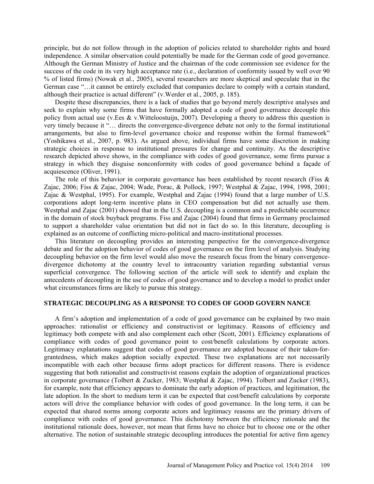principle, but do not follow through in the adoption of policies related to shareholder rights and board independence. A similar observation could potentially be made for the German code of good governance. Although the German Ministry of Justice and the chairman of the code commission see evidence for the success of the code in its very high acceptance rate (i.e., declaration of conformity issued by well over 90 % of listed firms) (Nowak et al., 2005), several researchers are more skeptical and speculate that in the German case "…it cannot be entirely excluded that companies declare to comply with a certain standard, although their practice is actual different" (v.Werder et al., 2005, p. 185).

Despite these discrepancies, there is a lack of studies that go beyond merely descriptive analyses and seek to explain why some firms that have formally adopted a code of good governance decouple this policy from actual use (v.Ees & v.Witteloostuijn, 2007). Developing a theory to address this question is very timely because it "… directs the convergence-divergence debate not only to the formal institutional arrangements, but also to firm-level governance choice and response within the formal framework" (Yoshikawa et al., 2007, p. 983). As argued above, individual firms have some discretion in making strategic choices in response to institutional pressures for change and continuity. As the descriptive research depicted above shows, in the compliance with codes of good governance, some firms pursue a strategy in which they disguise nonconformity with codes of good governance behind a façade of acquiescence (Oliver, 1991).

The role of this behavior in corporate governance has been established by recent research (Fiss  $\&$ Zajac, 2006; Fiss & Zajac, 2004; Wade, Porac, & Pollock, 1997; Westphal & Zajac, 1994, 1998, 2001; Zajac & Westphal, 1995). For example, Westphal and Zajac (1994) found that a large number of U.S. corporations adopt long-term incentive plans in CEO compensation but did not actually use them. Westphal and Zajac (2001) showed that in the U.S. decoupling is a common and a predictable occurrence in the domain of stock buyback programs. Fiss and Zajac (2004) found that firms in Germany proclaimed to support a shareholder value orientation but did not in fact do so. In this literature, decoupling is explained as an outcome of conflicting micro-political and macro-institutional processes.

This literature on decoupling provides an interesting perspective for the convergence-divergence debate and for the adoption behavior of codes of good governance on the firm level of analysis. Studying decoupling behavior on the firm level would also move the research focus from the binary convergencedivergence dichotomy at the country level to intracountry variation regarding substantial versus superficial convergence. The following section of the article will seek to identify and explain the antecedents of decoupling in the use of codes of good governance and to develop a model to predict under what circumstances firms are likely to pursue this strategy.

## **STRATEGIC DECOUPLING AS A RESPONSE TO CODES OF GOOD GOVERN NANCE**

A firm's adoption and implementation of a code of good governance can be explained by two main approaches: rationalist or efficiency and constructivist or legitimacy. Reasons of efficiency and legitimacy both compete with and also complement each other (Scott, 2001). Efficiency explanations of compliance with codes of good governance point to cost/benefit calculations by corporate actors. Legitimacy explanations suggest that codes of good governance are adopted because of their taken-forgrantedness, which makes adoption socially expected. These two explanations are not necessarily incompatible with each other because firms adopt practices for different reasons. There is evidence suggesting that both rationalist and constructivist reasons explain the adoption of organizational practices in corporate governance (Tolbert & Zucker, 1983; Westphal & Zajac, 1994). Tolbert and Zucker (1983), for example, note that efficiency appears to dominate the early adoption of practices, and legitimation, the late adoption. In the short to medium term it can be expected that cost/benefit calculations by corporate actors will drive the compliance behavior with codes of good governance. In the long term, it can be expected that shared norms among corporate actors and legitimacy reasons are the primary drivers of compliance with codes of good governance. This dichotomy between the efficiency rationale and the institutional rationale does, however, not mean that firms have no choice but to choose one or the other alternative. The notion of sustainable strategic decoupling introduces the potential for active firm agency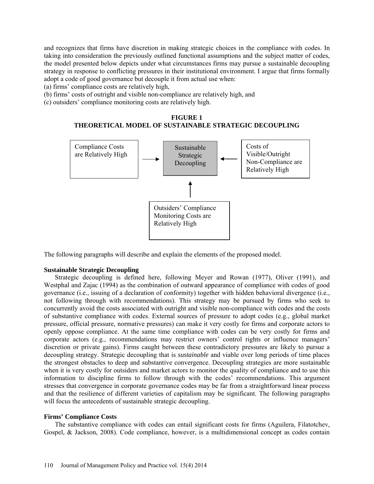and recognizes that firms have discretion in making strategic choices in the compliance with codes. In taking into consideration the previously outlined functional assumptions and the subject matter of codes, the model presented below depicts under what circumstances firms may pursue a sustainable decoupling strategy in response to conflicting pressures in their institutional environment. I argue that firms formally adopt a code of good governance but decouple it from actual use when:

(a) firms' compliance costs are relatively high,

(b) firms' costs of outright and visible non-compliance are relatively high, and

(c) outsiders' compliance monitoring costs are relatively high.





The following paragraphs will describe and explain the elements of the proposed model.

#### **Sustainable Strategic Decoupling**

Strategic decoupling is defined here, following Meyer and Rowan (1977), Oliver (1991), and Westphal and Zajac (1994) as the combination of outward appearance of compliance with codes of good governance (i.e., issuing of a declaration of conformity) together with hidden behavioral divergence (i.e., not following through with recommendations). This strategy may be pursued by firms who seek to concurrently avoid the costs associated with outright and visible non-compliance with codes and the costs of substantive compliance with codes. External sources of pressure to adopt codes (e.g., global market pressure, official pressure, normative pressures) can make it very costly for firms and corporate actors to openly oppose compliance. At the same time compliance with codes can be very costly for firms and corporate actors (e.g., recommendations may restrict owners' control rights or influence managers' discretion or private gains). Firms caught between these contradictory pressures are likely to pursue a decoupling strategy. Strategic decoupling that is *sustainable* and viable over long periods of time places the strongest obstacles to deep and substantive convergence. Decoupling strategies are more sustainable when it is very costly for outsiders and market actors to monitor the quality of compliance and to use this information to discipline firms to follow through with the codes' recommendations. This argument stresses that convergence in corporate governance codes may be far from a straightforward linear process and that the resilience of different varieties of capitalism may be significant. The following paragraphs will focus the antecedents of sustainable strategic decoupling.

#### **Firms' Compliance Costs**

The substantive compliance with codes can entail significant costs for firms (Aguilera, Filatotchev, Gospel, & Jackson, 2008). Code compliance, however, is a multidimensional concept as codes contain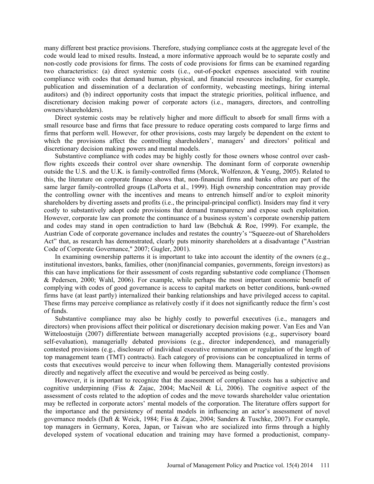many different best practice provisions. Therefore, studying compliance costs at the aggregate level of the code would lead to mixed results. Instead, a more informative approach would be to separate costly and non-costly code provisions for firms. The costs of code provisions for firms can be examined regarding two characteristics: (a) direct systemic costs (i.e., out-of-pocket expenses associated with routine compliance with codes that demand human, physical, and financial resources including, for example, publication and dissemination of a declaration of conformity, webcasting meetings, hiring internal auditors) and (b) indirect opportunity costs that impact the strategic priorities, political influence, and discretionary decision making power of corporate actors (i.e., managers, directors, and controlling owners/shareholders).

Direct systemic costs may be relatively higher and more difficult to absorb for small firms with a small resource base and firms that face pressure to reduce operating costs compared to large firms and firms that perform well. However, for other provisions, costs may largely be dependent on the extent to which the provisions affect the controlling shareholders', managers' and directors' political and discretionary decision making powers and mental models.

Substantive compliance with codes may be highly costly for those owners whose control over cashflow rights exceeds their control over share ownership. The dominant form of corporate ownership outside the U.S. and the U.K. is family-controlled firms (Morck, Wolfenzon, & Yeung, 2005). Related to this, the literature on corporate finance shows that, non-financial firms and banks often are part of the same larger family-controlled groups (LaPorta et al., 1999). High ownership concentration may provide the controlling owner with the incentives and means to entrench himself and/or to exploit minority shareholders by diverting assets and profits (i.e., the principal-principal conflict). Insiders may find it very costly to substantively adopt code provisions that demand transparency and expose such exploitation. However, corporate law can promote the continuance of a business system's corporate ownership pattern and codes may stand in open contradiction to hard law (Bebchuk & Roe, 1999). For example, the Austrian Code of corporate governance includes and restates the country's "Squeeze-out of Shareholders Act" that, as research has demonstrated, clearly puts minority shareholders at a disadvantage ("Austrian Code of Corporate Governance," 2007; Gugler, 2001).

In examining ownership patterns it is important to take into account the identity of the owners (e.g., institutional investors, banks, families, other (non)financial companies, governments, foreign investors) as this can have implications for their assessment of costs regarding substantive code compliance (Thomsen & Pedersen, 2000; Wahl, 2006). For example, while perhaps the most important economic benefit of complying with codes of good governance is access to capital markets on better conditions, bank-owned firms have (at least partly) internalized their banking relationships and have privileged access to capital. These firms may perceive compliance as relatively costly if it does not significantly reduce the firm's cost of funds.

Substantive compliance may also be highly costly to powerful executives (i.e., managers and directors) when provisions affect their political or discretionary decision making power. Van Ees and Van Witteloostuijn (2007) differentiate between managerially accepted provisions (e.g., supervisory board self-evaluation), managerially debated provisions (e.g., director independence), and managerially contested provisions (e.g., disclosure of individual executive remuneration or regulation of the length of top management team (TMT) contracts). Each category of provisions can be conceptualized in terms of costs that executives would perceive to incur when following them. Managerially contested provisions directly and negatively affect the executive and would be perceived as being costly.

However, it is important to recognize that the assessment of compliance costs has a subjective and cognitive underpinning (Fiss & Zajac, 2004; MacNeil & Li, 2006). The cognitive aspect of the assessment of costs related to the adoption of codes and the move towards shareholder value orientation may be reflected in corporate actors' mental models of the corporation. The literature offers support for the importance and the persistency of mental models in influencing an actor's assessment of novel governance models (Daft & Weick, 1984; Fiss & Zajac, 2004; Sanders & Tuschke, 2007). For example, top managers in Germany, Korea, Japan, or Taiwan who are socialized into firms through a highly developed system of vocational education and training may have formed a productionist, company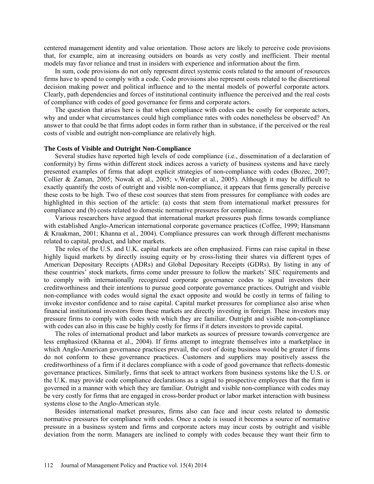centered management identity and value orientation. Those actors are likely to perceive code provisions that, for example, aim at increasing outsiders on boards as very costly and inefficient. Their mental models may favor reliance and trust in insiders with experience and information about the firm.

In sum, code provisions do not only represent direct systemic costs related to the amount of resources firms have to spend to comply with a code. Code provisions also represent costs related to the discretional decision making power and political influence and to the mental models of powerful corporate actors. Clearly, path dependencies and forces of institutional continuity influence the perceived and the real costs of compliance with codes of good governance for firms and corporate actors.

The question that arises here is that when compliance with codes can be costly for corporate actors, why and under what circumstances could high compliance rates with codes nonetheless be observed? An answer to that could be that firms adopt codes in form rather than in substance, if the perceived or the real costs of visible and outright non-compliance are relatively high.

#### **The Costs of Visible and Outright Non-Compliance**

Several studies have reported high levels of code compliance (i.e., dissemination of a declaration of conformity) by firms within different stock indices across a variety of business systems and have rarely presented examples of firms that adopt explicit strategies of non-compliance with codes (Bozec, 2007; Collier & Zaman, 2005; Nowak et al., 2005; v.Werder et al., 2005). Although it may be difficult to exactly quantify the costs of outright and visible non-compliance, it appears that firms generally perceive these costs to be high. Two of these cost sources that stem from pressures for compliance with codes are highlighted in this section of the article: (a) costs that stem from international market pressures for compliance and (b) costs related to domestic normative pressures for compliance.

Various researchers have argued that international market pressures push firms towards compliance with established Anglo-American international corporate governance practices (Coffee, 1999; Hansmann & Kraakman, 2001; Khanna et al., 2004). Compliance pressures can work through different mechanisms related to capital, product, and labor markets.

The roles of the U.S. and U.K. capital markets are often emphasized. Firms can raise capital in these highly liquid markets by directly issuing equity or by cross-listing their shares via different types of American Depositary Receipts (ADRs) and Global Depositary Receipts (GDRs). By listing in any of these countries' stock markets, firms come under pressure to follow the markets' SEC requirements and to comply with internationally recognized corporate governance codes to signal investors their creditworthiness and their intentions to pursue good corporate governance practices. Outright and visible non-compliance with codes would signal the exact opposite and would be costly in terms of failing to invoke investor confidence and to raise capital. Capital market pressures for compliance also arise when financial institutional investors from these markets are directly investing in foreign. These investors may pressure firms to comply with codes with which they are familiar. Outright and visible non-compliance with codes can also in this case be highly costly for firms if it deters investors to provide capital.

The roles of international product and labor markets as sources of pressure towards convergence are less emphasized (Khanna et al., 2004). If firms attempt to integrate themselves into a marketplace in which Anglo-American governance practices prevail, the cost of doing business would be greater if firms do not conform to these governance practices. Customers and suppliers may positively assess the creditworthiness of a firm if it declares compliance with a code of good governance that reflects domestic governance practices. Similarly, firms that seek to attract workers from business systems like the U.S. or the U.K. may provide code compliance declarations as a signal to prospective employees that the firm is governed in a manner with which they are familiar. Outright and visible non-compliance with codes may be very costly for firms that are engaged in cross-border product or labor market interaction with business systems close to the Anglo-American style.

Besides international market pressures, firms also can face and incur costs related to domestic normative pressures for compliance with codes. Once a code is issued it becomes a source of normative pressure in a business system and firms and corporate actors may incur costs by outright and visible deviation from the norm. Managers are inclined to comply with codes because they want their firm to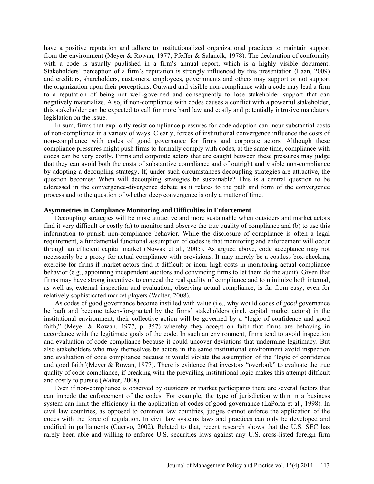have a positive reputation and adhere to institutionalized organizational practices to maintain support from the environment (Meyer & Rowan, 1977; Pfeffer & Salancik, 1978). The declaration of conformity with a code is usually published in a firm's annual report, which is a highly visible document. Stakeholders' perception of a firm's reputation is strongly influenced by this presentation (Laan, 2009) and creditors, shareholders, customers, employees, governments and others may support or not support the organization upon their perceptions. Outward and visible non-compliance with a code may lead a firm to a reputation of being not well-governed and consequently to lose stakeholder support that can negatively materialize. Also, if non-compliance with codes causes a conflict with a powerful stakeholder, this stakeholder can be expected to call for more hard law and costly and potentially intrusive mandatory legislation on the issue.

In sum, firms that explicitly resist compliance pressures for code adoption can incur substantial costs of non-compliance in a variety of ways. Clearly, forces of institutional convergence influence the costs of non-compliance with codes of good governance for firms and corporate actors. Although these compliance pressures might push firms to formally comply with codes, at the same time, compliance with codes can be very costly. Firms and corporate actors that are caught between these pressures may judge that they can avoid both the costs of substantive compliance and of outright and visible non-compliance by adopting a decoupling strategy. If, under such circumstances decoupling strategies are attractive, the question becomes: When will decoupling strategies be sustainable? This is a central question to be addressed in the convergence-divergence debate as it relates to the path and form of the convergence process and to the question of whether deep convergence is only a matter of time.

#### **Asymmetries in Compliance Monitoring and Difficulties in Enforcement**

Decoupling strategies will be more attractive and more sustainable when outsiders and market actors find it very difficult or costly (a) to monitor and observe the true quality of compliance and (b) to use this information to punish non-compliance behavior. While the disclosure of compliance is often a legal requirement, a fundamental functional assumption of codes is that monitoring and enforcement will occur through an efficient capital market (Nowak et al., 2005). As argued above, code acceptance may not necessarily be a proxy for actual compliance with provisions. It may merely be a costless box-checking exercise for firms if market actors find it difficult or incur high costs in monitoring actual compliance behavior (e.g., appointing independent auditors and convincing firms to let them do the audit). Given that firms may have strong incentives to conceal the real quality of compliance and to minimize both internal, as well as, external inspection and evaluation, observing actual compliance, is far from easy, even for relatively sophisticated market players (Walter, 2008).

As codes of good governance become instilled with value (i.e., why would codes of *good* governance be bad) and become taken-for-granted by the firms' stakeholders (incl. capital market actors) in the institutional environment, their collective action will be governed by a "logic of confidence and good faith," (Meyer & Rowan, 1977, p. 357) whereby they accept on faith that firms are behaving in accordance with the legitimate goals of the code. In such an environment, firms tend to avoid inspection and evaluation of code compliance because it could uncover deviations that undermine legitimacy. But also stakeholders who may themselves be actors in the same institutional environment avoid inspection and evaluation of code compliance because it would violate the assumption of the "logic of confidence and good faith"(Meyer & Rowan, 1977). There is evidence that investors "overlook" to evaluate the true quality of code compliance, if breaking with the prevailing institutional logic makes this attempt difficult and costly to pursue (Walter, 2008).

Even if non-compliance is observed by outsiders or market participants there are several factors that can impede the enforcement of the codes: For example, the type of jurisdiction within in a business system can limit the efficiency in the application of codes of good governance (LaPorta et al., 1998). In civil law countries, as opposed to common law countries, judges cannot enforce the application of the codes with the force of regulation. In civil law systems laws and practices can only be developed and codified in parliaments (Cuervo, 2002). Related to that, recent research shows that the U.S. SEC has rarely been able and willing to enforce U.S. securities laws against any U.S. cross-listed foreign firm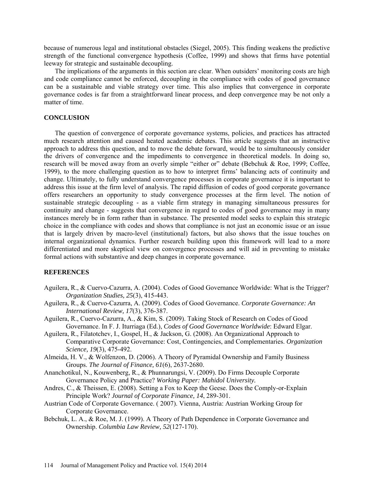because of numerous legal and institutional obstacles (Siegel, 2005). This finding weakens the predictive strength of the functional convergence hypothesis (Coffee, 1999) and shows that firms have potential leeway for strategic and sustainable decoupling.

The implications of the arguments in this section are clear. When outsiders' monitoring costs are high and code compliance cannot be enforced, decoupling in the compliance with codes of good governance can be a sustainable and viable strategy over time. This also implies that convergence in corporate governance codes is far from a straightforward linear process, and deep convergence may be not only a matter of time.

# **CONCLUSION**

The question of convergence of corporate governance systems, policies, and practices has attracted much research attention and caused heated academic debates. This article suggests that an instructive approach to address this question, and to move the debate forward, would be to simultaneously consider the drivers of convergence and the impediments to convergence in theoretical models. In doing so, research will be moved away from an overly simple "either or" debate (Bebchuk & Roe, 1999; Coffee, 1999), to the more challenging question as to how to interpret firms' balancing acts of continuity and change. Ultimately, to fully understand convergence processes in corporate governance it is important to address this issue at the firm level of analysis. The rapid diffusion of codes of good corporate governance offers researchers an opportunity to study convergence processes at the firm level. The notion of sustainable strategic decoupling - as a viable firm strategy in managing simultaneous pressures for continuity and change - suggests that convergence in regard to codes of good governance may in many instances merely be in form rather than in substance. The presented model seeks to explain this strategic choice in the compliance with codes and shows that compliance is not just an economic issue or an issue that is largely driven by macro-level (institutional) factors, but also shows that the issue touches on internal organizational dynamics. Further research building upon this framework will lead to a more differentiated and more skeptical view on convergence processes and will aid in preventing to mistake formal actions with substantive and deep changes in corporate governance.

## **REFERENCES**

- Aguilera, R., & Cuervo-Cazurra, A. (2004). Codes of Good Governance Worldwide: What is the Trigger? *Organization Studies, 25*(3), 415-443.
- Aguilera, R., & Cuervo-Cazurra, A. (2009). Codes of Good Governance. *Corporate Governance: An International Review, 17*(3), 376-387.
- Aguilera, R., Cuervo-Cazurra, A., & Kim, S. (2009). Taking Stock of Research on Codes of Good Governance. In F. J. Iturriaga (Ed.), *Codes of Good Governance Worldwide*: Edward Elgar.
- Aguilera, R., Filatotchev, I., Gospel, H., & Jackson, G. (2008). An Organizational Approach to Comparative Corporate Governance: Cost, Contingencies, and Complementaries. *Organization Science, 19*(3), 475-492.
- Almeida, H. V., & Wolfenzon, D. (2006). A Theory of Pyramidal Ownership and Family Business Groups. *The Journal of Finance, 61*(6), 2637-2680.
- Ananchotikul, N., Kouwenberg, R., & Phunnarungsi, V. (2009). Do Firms Decouple Corporate Governance Policy and Practice? *Working Paper: Mahidol University.*
- Andres, C., & Theissen, E. (2008). Setting a Fox to Keep the Geese. Does the Comply-or-Explain Principle Work? *Journal of Corporate Finance, 14*, 289-301.
- Austrian Code of Corporate Governance. ( 2007). Vienna, Austria: Austrian Working Group for Corporate Governance.
- Bebchuk, L. A., & Roe, M. J. (1999). A Theory of Path Dependence in Corporate Governance and Ownership. *Columbia Law Review, 52*(127-170).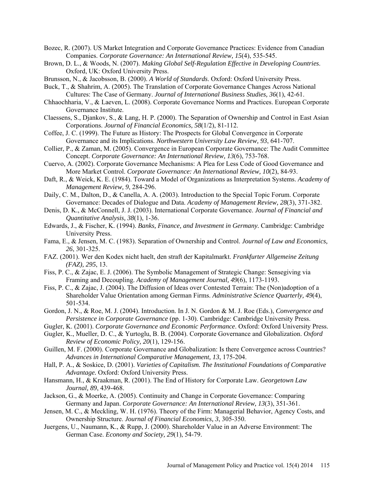- Bozec, R. (2007). US Market Integration and Corporate Governance Practices: Evidence from Canadian Companies. *Corporate Governance: An International Review, 15*(4), 535-545.
- Brown, D. L., & Woods, N. (2007). *Making Global Self-Regulation Effective in Developing Countries*. Oxford, UK: Oxford University Press.
- Brunsson, N., & Jacobsson, B. (2000). *A World of Standards*. Oxford: Oxford University Press.
- Buck, T., & Shahrim, A. (2005). The Translation of Corporate Governance Changes Across National Cultures: The Case of Germany. *Journal of International Business Studies, 36*(1), 42-61.
- Chhaochharia, V., & Laeven, L. (2008). Corporate Governance Norms and Practices. European Corporate Governance Institute.
- Claessens, S., Djankov, S., & Lang, H. P. (2000). The Separation of Ownership and Control in East Asian Corporations. *Journal of Financial Economics, 58*(1/2), 81-112.
- Coffee, J. C. (1999). The Future as History: The Prospects for Global Convergence in Corporate Governance and its Implications. *Northwestern University Law Review, 93*, 641-707.
- Collier, P., & Zaman, M. (2005). Convergence in European Corporate Governance: The Audit Committee Concept. *Corporate Governance: An International Review, 13*(6), 753-768.
- Cuervo, A. (2002). Corporate Governance Mechanisms: A Plea for Less Code of Good Governance and More Market Control. *Corporate Governance: An International Review, 10*(2), 84-93.
- Daft, R., & Weick, K. E. (1984). Toward a Model of Organizations as Interpretation Systems. *Academy of Management Review, 9*, 284-296.
- Daily, C. M., Dalton, D., & Canella, A. A. (2003). Introduction to the Special Topic Forum. Corporate Governance: Decades of Dialogue and Data. *Academy of Management Review, 28*(3), 371-382.
- Denis, D. K., & McConnell, J. J. (2003). International Corporate Governance. *Journal of Financial and Quantitative Analysis, 38*(1), 1-36.
- Edwards, J., & Fischer, K. (1994). *Banks, Finance, and Investment in Germany.* Cambridge: Cambridge University Press.
- Fama, E., & Jensen, M. C. (1983). Separation of Ownership and Control. *Journal of Law and Economics, 26*, 301-325.
- FAZ. (2001). Wer den Kodex nicht haelt, den straft der Kapitalmarkt. *Frankfurter Allgemeine Zeitung (FAZ), 295*, 13.
- Fiss, P. C., & Zajac, E. J. (2006). The Symbolic Management of Strategic Change: Sensegiving via Framing and Decoupling. *Academy of Management Journal, 49*(6), 1173-1193.
- Fiss, P. C., & Zajac, J. (2004). The Diffusion of Ideas over Contested Terrain: The (Non)adoption of a Shareholder Value Orientation among German Firms. *Administrative Science Quarterly, 49*(4), 501-534.
- Gordon, J. N., & Roe, M. J. (2004). Introduction. In J. N. Gordon & M. J. Roe (Eds.), *Convergence and Persistence in Corporate Governance* (pp. 1-30). Cambridge: Cambridge University Press.
- Gugler, K. (2001). *Corporate Governance and Economic Performance*. Oxford: Oxford University Press.
- Gugler, K., Mueller, D. C., & Yurtoglu, B. B. (2004). Corporate Governance and Globalization. *Oxford Review of Economic Policy, 20*(1), 129-156.
- Guillen, M. F. (2000). Corporate Governance and Globalization: Is there Convergence across Countries? *Advances in International Comparative Management, 13*, 175-204.
- Hall, P. A., & Soskice, D. (2001). *Varieties of Capitalism. The Institutional Foundations of Comparative Advantage.* Oxford: Oxford University Press.
- Hansmann, H., & Kraakman, R. (2001). The End of History for Corporate Law. *Georgetown Law Journal, 89*, 439-468.
- Jackson, G., & Moerke, A. (2005). Continuity and Change in Corporate Governance: Comparing Germany and Japan. *Corporate Governance: An International Review, 13*(3), 351-361.
- Jensen, M. C., & Meckling, W. H. (1976). Theory of the Firm: Managerial Behavior, Agency Costs, and Ownership Structure. *Journal of Financial Economics, 3*, 305-350.
- Juergens, U., Naumann, K., & Rupp, J. (2000). Shareholder Value in an Adverse Environment: The German Case. *Economy and Society, 29*(1), 54-79.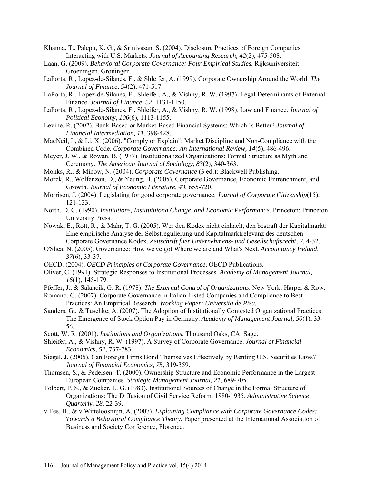- Khanna, T., Palepu, K. G., & Srinivasan, S. (2004). Disclosure Practices of Foreign Companies Interacting with U.S. Markets. *Journal of Accounting Research, 42*(2), 475-508.
- Laan, G. (2009). *Behavioral Corporate Governance: Four Empirical Studies.* Rijksuniversiteit Groeningen, Groningen.
- LaPorta, R., Lopez-de-Silanes, F., & Shleifer, A. (1999). Corporate Ownership Around the World. *The Journal of Finance, 54*(2), 471-517.
- LaPorta, R., Lopez-de-Silanes, F., Shleifer, A., & Vishny, R. W. (1997). Legal Determinants of External Finance. *Journal of Finance, 52*, 1131-1150.
- LaPorta, R., Lopez-de-Silanes, F., Shleifer, A., & Vishny, R. W. (1998). Law and Finance. *Journal of Political Economy, 106*(6), 1113-1155.
- Levine, R. (2002). Bank-Based or Market-Based Financial Systems: Which Is Better? *Journal of Financial Intermediation, 11*, 398-428.
- MacNeil, I., & Li, X. (2006). "Comply or Explain": Market Discipline and Non-Compliance with the Combined Code. *Corporate Governance: An International Review, 14*(5), 486-496.
- Meyer, J. W., & Rowan, B. (1977). Institutionalized Organizations: Formal Structure as Myth and Ceremony. *The American Journal of Sociology, 83*(2), 340-363.
- Monks, R., & Minow, N. (2004). *Corporate Governance* (3 ed.): Blackwell Publishing.
- Morck, R., Wolfenzon, D., & Yeung, B. (2005). Corporate Governance, Economic Entrenchment, and Growth. *Journal of Economic Literature, 43*, 655-720.
- Morrison, J. (2004). Legislating for good corporate governance. *Journal of Corporate Citizenship*(15), 121-133.
- North, D. C. (1990). *Institutions, Institutuiona Change, and Economic Performance.* Princeton: Princeton University Press.
- Nowak, E., Rott, R., & Mahr, T. G. (2005). Wer den Kodex nicht einhaelt, den bestraft der Kapitalmarkt: Eine empirische Analyse der Selbstregulierung und Kapitalmarktrelevanz des deutschen Corporate Governance Kodex. *Zeitschrift fuer Unternehmens- und Gesellschaftsrecht, 2*, 4-32.
- O'Shea, N. (2005). Governance: How we've got Where we are and What's Next. *Accountancy Ireland, 37*(6), 33-37.
- OECD. (2004). *OECD Principles of Corporate Governance*. OECD Publications.
- Oliver, C. (1991). Strategic Responses to Institutional Processes. *Academy of Management Journal, 16*(1), 145-179.
- Pfeffer, J., & Salancik, G. R. (1978). *The External Control of Organizations*. New York: Harper & Row.
- Romano, G. (2007). Corporate Governance in Italian Listed Companies and Compliance to Best Practices: An Empirical Research. *Working Paper: Universita de Pisa.*
- Sanders, G., & Tuschke, A. (2007). The Adoption of Institutionally Contested Organizational Practices: The Emergence of Stock Option Pay in Germany. *Academy of Management Journal, 50*(1), 33- 56.
- Scott, W. R. (2001). *Institutions and Organizations*. Thousand Oaks, CA: Sage.
- Shleifer, A., & Vishny, R. W. (1997). A Survey of Corporate Governance. *Journal of Financial Economics, 52*, 737-783.
- Siegel, J. (2005). Can Foreign Firms Bond Themselves Effectively by Renting U.S. Securities Laws? *Journal of Financial Economics, 75*, 319-359.
- Thomsen, S., & Pedersen, T. (2000). Ownership Structure and Economic Performance in the Largest European Companies. *Strategic Management Journal, 21*, 689-705.
- Tolbert, P. S., & Zucker, L. G. (1983). Institutional Sources of Change in the Formal Structure of Organizations: The Diffusion of Civil Service Reform, 1880-1935. *Administrative Science Quarterly, 28*, 22-39.
- v.Ees, H., & v.Witteloostuijn, A. (2007). *Explaining Compliance with Corporate Governance Codes: Towards a Behavioral Compliance Theory.* Paper presented at the International Association of Business and Society Conference, Florence.